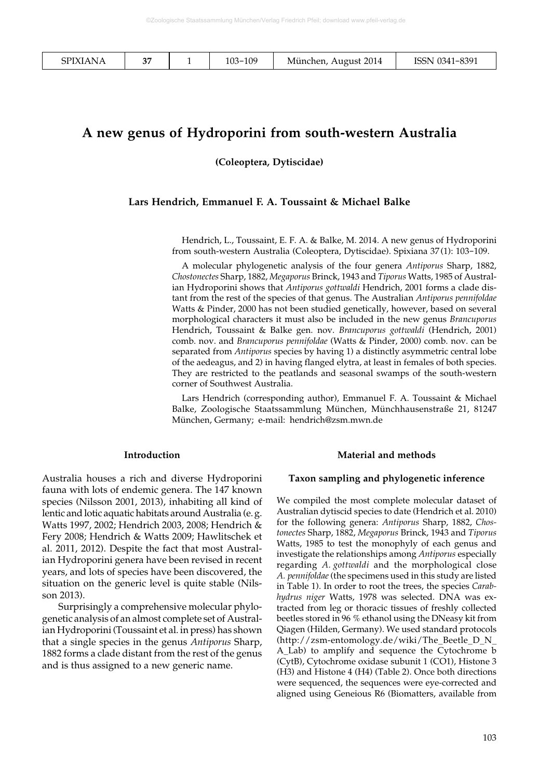| <b>SPIXIANA</b> | $\sim$ |  | 103-109 | München, August 2014 | ISSN 0341-8391 |
|-----------------|--------|--|---------|----------------------|----------------|
|-----------------|--------|--|---------|----------------------|----------------|

# **A new genus of Hydroporini from south-western Australia**

**(Coleoptera, Dytiscidae)**

#### **Lars Hendrich, Emmanuel F. A. Toussaint & Michael Balke**

Hendrich, L., Toussaint, E. F. A. & Balke, M. 2014. A new genus of Hydroporini from south-western Australia (Coleoptera, Dytiscidae). Spixiana 37(1): 103-109.

A molecular phylogenetic analysis of the four genera *Antiporus* Sharp, 1882, *Chostonectes* Sharp, 1882, *Megaporus* Brinck, 1943 and *Tiporus* Watts, 1985 of Australian Hydroporini shows that *Antiporus gottwaldi* Hendrich, 2001 forms a clade distant from the rest of the species of that genus. The Australian *Antiporus pennifoldae* Watts & Pinder, 2000 has not been studied genetically, however, based on several morphological characters it must also be included in the new genus *Brancuporus* Hendrich, Toussaint & Balke gen. nov. *Brancuporus gottwaldi* (Hendrich, 2001) comb. nov. and *Brancuporus pennifoldae* (Watts & Pinder, 2000) comb. nov. can be separated from *Antiporus* species by having 1) a distinctly asymmetric central lobe of the aedeagus, and 2) in having flanged elytra, at least in females of both species. They are restricted to the peatlands and seasonal swamps of the south-western corner of Southwest Australia.

Lars Hendrich (corresponding author), Emmanuel F. A. Toussaint & Michael Balke, Zoologische Staatssammlung München, Münchhausenstraße 21, 81247 München, Germany; e-mail: hendrich@zsm.mwn.de

#### **Introduction**

Australia houses a rich and diverse Hydroporini fauna with lots of endemic genera. The 147 known species (Nilsson 2001, 2013), inhabiting all kind of lentic and lotic aquatic habitats around Australia (e.g. Watts 1997, 2002; Hendrich 2003, 2008; Hendrich & Fery 2008; Hendrich & Watts 2009; Hawlitschek et al. 2011, 2012). Despite the fact that most Australian Hydroporini genera have been revised in recent years, and lots of species have been discovered, the situation on the generic level is quite stable (Nilsson 2013).

Surprisingly a comprehensive molecular phylogenetic analysis of an almost complete set of Australian Hydroporini (Toussaint et al. in press) has shown that a single species in the genus *Antiporus* Sharp, 1882 forms a clade distant from the rest of the genus and is thus assigned to a new generic name.

#### **Material and methods**

#### **Taxon sampling and phylogenetic inference**

We compiled the most complete molecular dataset of Australian dytiscid species to date (Hendrich et al. 2010) for the following genera: *Antiporus* Sharp, 1882, *Chostonectes* Sharp, 1882, *Megaporus* Brinck, 1943 and *Tiporus* Watts, 1985 to test the monophyly of each genus and investigate the relationships among *Antiporus* especially regarding *A. gottwaldi* and the morphological close *A. pennifoldae* (the specimens used in this study are listed in Table 1). In order to root the trees, the species *Carabhydrus niger* Watts, 1978 was selected. DNA was extracted from leg or thoracic tissues of freshly collected beetles stored in 96 % ethanol using the DNeasy kit from Qiagen (Hilden, Germany). We used standard protocols (http://zsm-entomology.de/wiki/The\_Beetle\_D\_N\_ A\_Lab) to amplify and sequence the Cytochrome b (CytB), Cytochrome oxidase subunit 1 (CO1), Histone 3 (H3) and Histone 4 (H4) (Table 2). Once both directions were sequenced, the sequences were eye-corrected and aligned using Geneious R6 (Biomatters, available from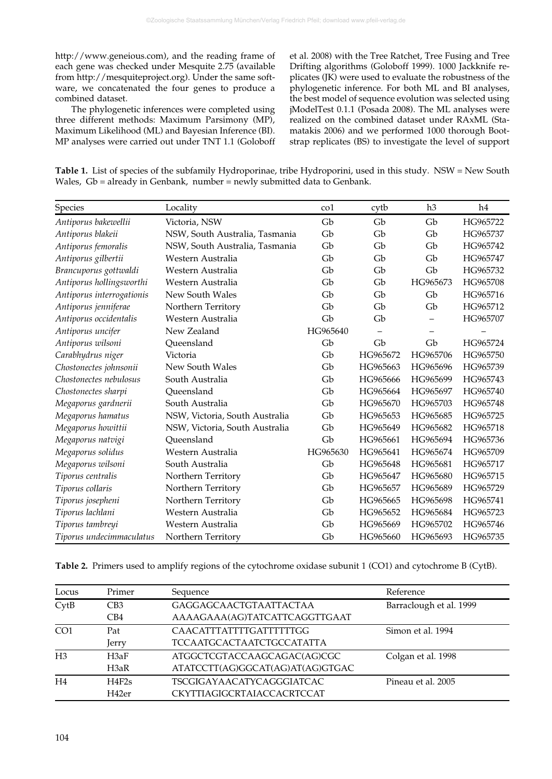http://www.geneious.com), and the reading frame of each gene was checked under Mesquite 2.75 (available from http://mesquiteproject.org). Under the same software, we concatenated the four genes to produce a combined dataset.

The phylogenetic inferences were completed using three different methods: Maximum Parsimony (MP), Maximum Likelihood (ML) and Bayesian Inference (BI). MP analyses were carried out under TNT 1.1 (Goloboff et al. 2008) with the Tree Ratchet, Tree Fusing and Tree Drifting algorithms (Goloboff 1999). 1000 Jackknife replicates (JK) were used to evaluate the robustness of the phylogenetic inference. For both ML and BI analyses, the best model of sequence evolution was selected using jModelTest 0.1.1 (Posada 2008). The ML analyses were realized on the combined dataset under RAxML (Stamatakis 2006) and we performed 1000 thorough Bootstrap replicates (BS) to investigate the level of support

**Table 1.** List of species of the subfamily Hydroporinae, tribe Hydroporini, used in this study. NSW = New South Wales, Gb = already in Genbank, number = newly submitted data to Genbank.

| Species                   | Locality                       | $\rm{co}1$ | cytb     | h3       | h4       |
|---------------------------|--------------------------------|------------|----------|----------|----------|
| Antiporus bakewellii      | Victoria, NSW                  | Gb         | Gb       | Gb       | HG965722 |
| Antiporus blakeii         | NSW, South Australia, Tasmania | Gb         | Gb       | Gb       | HG965737 |
| Antiporus femoralis       | NSW, South Australia, Tasmania | Gb         | Gb       | Gb       | HG965742 |
| Antiporus gilbertii       | Western Australia              | Gb         | Gb       | Gb       | HG965747 |
| Brancuporus gottwaldi     | Western Australia              | Gb         | Gb       | Gb       | HG965732 |
| Antiporus hollingsworthi  | Western Australia              | Gb         | Gb       | HG965673 | HG965708 |
| Antiporus interrogationis | New South Wales                | Gb         | Gb       | Gb       | HG965716 |
| Antiporus jenniferae      | Northern Territory             | Gb         | Gb       | Gb       | HG965712 |
| Antiporus occidentalis    | Western Australia              | Gb         | Gb       |          | HG965707 |
| Antiporus uncifer         | New Zealand                    | HG965640   |          |          |          |
| Antiporus wilsoni         | Oueensland                     | Gb         | Gb       | Gb       | HG965724 |
| Carabhydrus niger         | Victoria                       | Gb         | HG965672 | HG965706 | HG965750 |
| Chostonectes johnsonii    | New South Wales                | Gb         | HG965663 | HG965696 | HG965739 |
| Chostonectes nebulosus    | South Australia                | Gb         | HG965666 | HG965699 | HG965743 |
| Chostonectes sharpi       | Oueensland                     | Gb         | HG965664 | HG965697 | HG965740 |
| Megaporus gardnerii       | South Australia                | Gb         | HG965670 | HG965703 | HG965748 |
| Megaporus hamatus         | NSW, Victoria, South Australia | Gb         | HG965653 | HG965685 | HG965725 |
| Megaporus howittii        | NSW, Victoria, South Australia | Gb         | HG965649 | HG965682 | HG965718 |
| Megaporus natvigi         | Oueensland                     | Gb         | HG965661 | HG965694 | HG965736 |
| Megaporus solidus         | Western Australia              | HG965630   | HG965641 | HG965674 | HG965709 |
| Megaporus wilsoni         | South Australia                | Gb         | HG965648 | HG965681 | HG965717 |
| Tiporus centralis         | Northern Territory             | Gb         | HG965647 | HG965680 | HG965715 |
| Tiporus collaris          | Northern Territory             | Gb         | HG965657 | HG965689 | HG965729 |
| Tiporus josepheni         | Northern Territory             | Gb         | HG965665 | HG965698 | HG965741 |
| Tiporus lachlani          | Western Australia              | Gb         | HG965652 | HG965684 | HG965723 |
| Tiporus tambreyi          | Western Australia              | Gb         | HG965669 | HG965702 | HG965746 |
| Tiporus undecimmaculatus  | Northern Territory             | Gb         | HG965660 | HG965693 | HG965735 |

**Table 2.** Primers used to amplify regions of the cytochrome oxidase subunit 1 (CO1) and cytochrome B (CytB).

| Locus           | Primer          | Sequence                         | Reference               |
|-----------------|-----------------|----------------------------------|-------------------------|
| CvtB            | CB <sub>3</sub> | GAGGAGCAACTGTAATTACTAA           | Barraclough et al. 1999 |
|                 | CB4             | AAAAGAAA(AG)TATCATTCAGGTTGAAT    |                         |
| CO <sub>1</sub> | Pat             | CAACATTTATTTTGATTTTTTGG          | Simon et al. 1994       |
|                 | Jerry           | <b>TCCAATGCACTAATCTGCCATATTA</b> |                         |
| H <sub>3</sub>  | H3aF            | ATGGCTCGTACCAAGCAGAC(AG)CGC      | Colgan et al. 1998      |
|                 | H3aR            | ATATCCTT(AG)GGCAT(AG)AT(AG)GTGAC |                         |
| H <sub>4</sub>  | H4F2s           | <b>TSCGIGAYAACATYCAGGGIATCAC</b> | Pineau et al. 2005      |
|                 | H42er           | CKYTTIAGIGCRTAIACCACRTCCAT       |                         |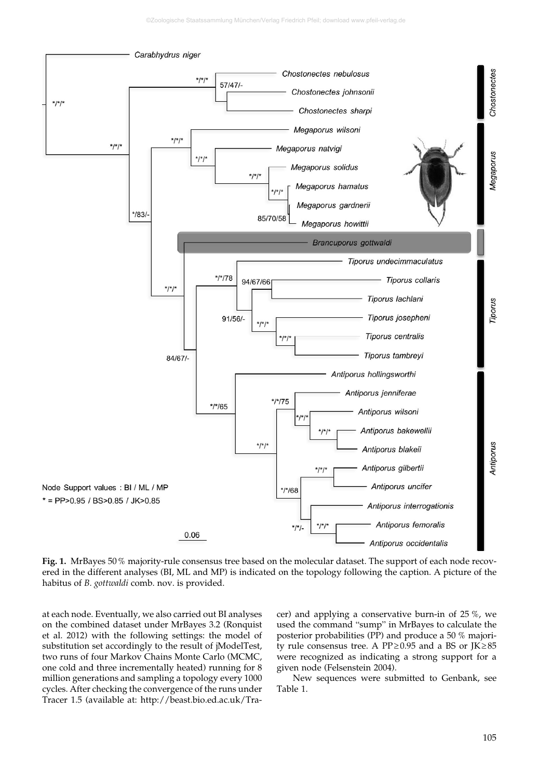

**Fig. 1.** MrBayes 50% majority-rule consensus tree based on the molecular dataset. The support of each node recovered in the different analyses (BI, ML and MP) is indicated on the topology following the caption. A picture of the habitus of *B. gottwaldi* comb. nov. is provided.

at each node. Eventually, we also carried out BI analyses on the combined dataset under MrBayes 3.2 (Ronquist et al. 2012) with the following settings: the model of substitution set accordingly to the result of jModelTest, two runs of four Markov Chains Monte Carlo (MCMC, one cold and three incrementally heated) running for 8 million generations and sampling a topology every 1000 cycles. After checking the convergence of the runs under Tracer 1.5 (available at: http://beast.bio.ed.ac.uk/Tracer) and applying a conservative burn-in of 25 %, we used the command "sump" in MrBayes to calculate the posterior probabilities (PP) and produce a 50 % majority rule consensus tree. A PP≥0.95 and a BS or JK≥85 were recognized as indicating a strong support for a given node (Felsenstein 2004).

New sequences were submitted to Genbank, see Table 1.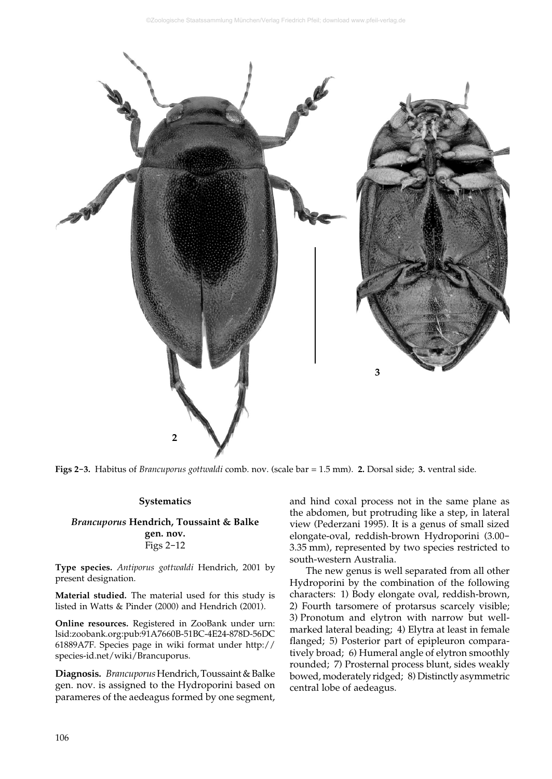

**Figs 2-3.** Habitus of *Brancuporus gottwaldi* comb. nov. (scale bar = 1.5 mm). **2.** Dorsal side; **3.** ventral side.

## **Systematics**

## *Brancuporus* **Hendrich, Toussaint & Balke gen. nov.** Figs 2-12

**Type species.** *Antiporus gottwaldi* Hendrich, 2001 by present designation.

**Material studied.** The material used for this study is listed in Watts & Pinder (2000) and Hendrich (2001).

**Online resources.** Registered in ZooBank under urn: lsid:zoobank.org:pub:91A7660B-51BC-4E24-878D-56DC 61889A7F. Species page in wiki format under http:// species-id.net/wiki/Brancuporus.

**Diagnosis.** *Brancuporus* Hendrich, Toussaint & Balke gen. nov. is assigned to the Hydroporini based on parameres of the aedeagus formed by one segment, and hind coxal process not in the same plane as the abdomen, but protruding like a step, in lateral view (Pederzani 1995). It is a genus of small sized elongate-oval, reddish-brown Hydroporini (3.00- 3.35 mm), represented by two species restricted to south-western Australia.

The new genus is well separated from all other Hydroporini by the combination of the following characters: 1) Body elongate oval, reddish-brown, 2) Fourth tarsomere of protarsus scarcely visible; 3) Pronotum and elytron with narrow but wellmarked lateral beading; 4) Elytra at least in female flanged; 5) Posterior part of epipleuron comparatively broad; 6) Humeral angle of elytron smoothly rounded; 7) Prosternal process blunt, sides weakly bowed, moderately ridged; 8) Distinctly asymmetric central lobe of aedeagus.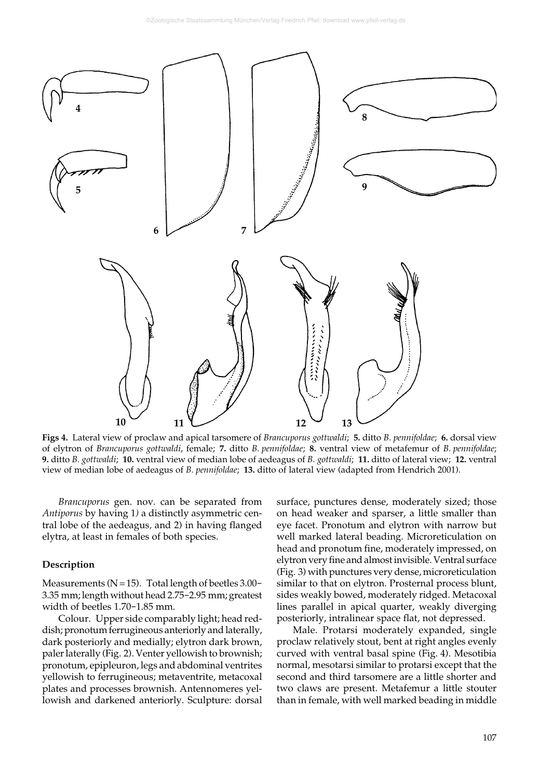

**Figs 4.** Lateral view of proclaw and apical tarsomere of *Brancuporus gottwaldi*; **5.** ditto *B. pennifoldae*; **6.** dorsal view of elytron of *Brancuporus gottwaldi*, female; **7.** ditto *B. pennifoldae*; **8.** ventral view of metafemur of *B. pennifoldae*; **9.** ditto *B. gottwaldi*; **10.** ventral view of median lobe of aedeagus of *B. gottwaldi*; **11.** ditto of lateral view; **12.** ventral view of median lobe of aedeagus of *B. pennifoldae*; **13.** ditto of lateral view (adapted from Hendrich 2001).

*Brancuporus* gen. nov. can be separated from *Antiporus* by having 1*)* a distinctly asymmetric central lobe of the aedeagus*,* and 2) in having flanged elytra, at least in females of both species.

## **Description**

Measurements ( $N=15$ ). Total length of beetles 3.00-3.35 mm; length without head 2.75-2.95 mm; greatest width of beetles 1.70-1.85 mm.

Colour. Upper side comparably light; head reddish; pronotum ferrugineous anteriorly and laterally, dark posteriorly and medially; elytron dark brown, paler laterally (Fig. 2). Venter yellowish to brownish; pronotum, epipleuron, legs and abdominal ventrites yellowish to ferrugineous; metaventrite, metacoxal plates and processes brownish. Antennomeres yellowish and darkened anteriorly. Sculpture: dorsal surface, punctures dense, moderately sized; those on head weaker and sparser, a little smaller than eye facet. Pronotum and elytron with narrow but well marked lateral beading. Microreticulation on head and pronotum fine, moderately impressed, on elytron very fine and almost invisible. Ventral surface (Fig. 3) with punctures very dense, microreticulation similar to that on elytron. Prosternal process blunt, sides weakly bowed, moderately ridged. Metacoxal lines parallel in apical quarter, weakly diverging posteriorly, intralinear space flat, not depressed.

Male. Protarsi moderately expanded, single proclaw relatively stout, bent at right angles evenly curved with ventral basal spine (Fig. 4). Mesotibia normal, mesotarsi similar to protarsi except that the second and third tarsomere are a little shorter and two claws are present. Metafemur a little stouter than in female, with well marked beading in middle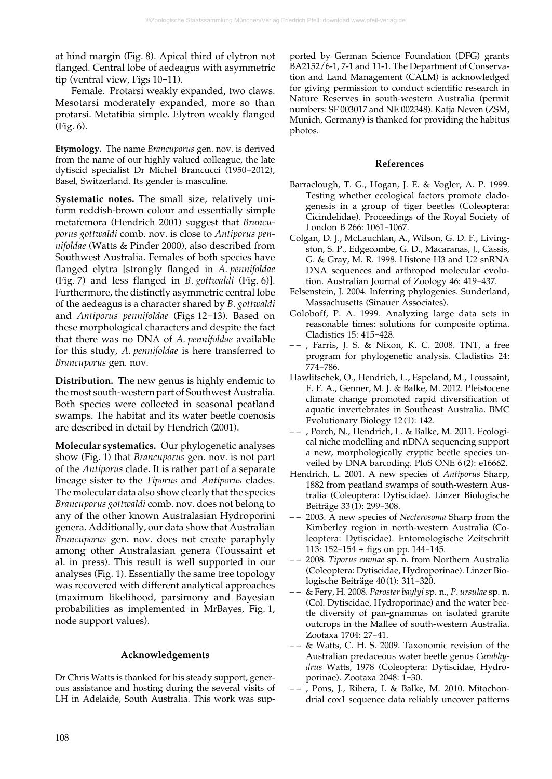at hind margin (Fig. 8). Apical third of elytron not flanged. Central lobe of aedeagus with asymmetric tip (ventral view, Figs 10-11).

Female. Protarsi weakly expanded, two claws. Mesotarsi moderately expanded, more so than protarsi. Metatibia simple. Elytron weakly flanged (Fig. 6).

**Etymology.** The name *Brancuporus* gen. nov. is derived from the name of our highly valued colleague, the late dytiscid specialist Dr Michel Brancucci (1950-2012), Basel, Switzerland. Its gender is masculine.

**Systematic notes.** The small size, relatively uniform reddish-brown colour and essentially simple metafemora (Hendrich 2001) suggest that *Brancuporus gottwaldi* comb. nov. is close to *Antiporus pennifoldae* (Watts & Pinder 2000), also described from Southwest Australia. Females of both species have flanged elytra [strongly flanged in *A. pennifoldae* (Fig. 7) and less flanged in *B. gottwaldi* (Fig. 6)]. Furthermore, the distinctly asymmetric central lobe of the aedeagus is a character shared by *B. gottwaldi* and *Antiporus pennifoldae* (Figs 12-13). Based on these morphological characters and despite the fact that there was no DNA of *A. pennifoldae* available for this study, *A. pennifoldae* is here transferred to *Brancuporus* gen. nov.

**Distribution.** The new genus is highly endemic to the most south-western part of Southwest Australia. Both species were collected in seasonal peatland swamps. The habitat and its water beetle coenosis are described in detail by Hendrich (2001).

**Molecular systematics.** Our phylogenetic analyses show (Fig. 1) that *Brancuporus* gen. nov. is not part of the *Antiporus* clade. It is rather part of a separate lineage sister to the *Tiporus* and *Antiporus* clades. The molecular data also show clearly that the species *Brancuporus gottwaldi* comb. nov. does not belong to any of the other known Australasian Hydroporini genera. Additionally, our data show that Australian *Brancuporus* gen. nov. does not create paraphyly among other Australasian genera (Toussaint et al. in press). This result is well supported in our analyses (Fig. 1). Essentially the same tree topology was recovered with different analytical approaches (maximum likelihood, parsimony and Bayesian probabilities as implemented in MrBayes, Fig. 1, node support values).

## **Acknowledgements**

Dr Chris Watts is thanked for his steady support, generous assistance and hosting during the several visits of LH in Adelaide, South Australia. This work was sup-

ported by German Science Foundation (DFG) grants BA2152/6-1, 7-1 and 11-1. The Department of Conservation and Land Management (CALM) is acknowledged for giving permission to conduct scientific research in Nature Reserves in south-western Australia (permit numbers: SF 003017 and NE 002348). Katja Neven (ZSM, Munich, Germany) is thanked for providing the habitus photos.

## **References**

- Barraclough, T. G., Hogan, J. E. & Vogler, A. P. 1999. Testing whether ecological factors promote cladogenesis in a group of tiger beetles (Coleoptera: Cicindelidae). Proceedings of the Royal Society of London B 266: 1061-1067.
- Colgan, D. J., McLauchlan, A., Wilson, G. D. F., Livingston, S. P., Edgecombe, G. D., Macaranas, J., Cassis, G. & Gray, M. R. 1998. Histone H3 and U2 snRNA DNA sequences and arthropod molecular evolution. Australian Journal of Zoology 46: 419-437.
- Felsenstein, J. 2004. Inferring phylogenies. Sunderland, Massachusetts (Sinauer Associates).
- Goloboff, P. A. 1999. Analyzing large data sets in reasonable times: solutions for composite optima. Cladistics 15: 415-428.
- – , Farris, J. S. & Nixon, K. C. 2008. TNT, a free program for phylogenetic analysis. Cladistics 24: 774-786.
- Hawlitschek, O., Hendrich, L., Espeland, M., Toussaint, E. F. A., Genner, M. J. & Balke, M. 2012. Pleistocene climate change promoted rapid diversification of aquatic invertebrates in Southeast Australia. BMC Evolutionary Biology 12 (1): 142.
- – , Porch, N., Hendrich, L. & Balke, M. 2011. Ecological niche modelling and nDNA sequencing support a new, morphologically cryptic beetle species unveiled by DNA barcoding. PloS ONE 6 (2): e16662.
- Hendrich, L. 2001. A new species of *Antiporus* Sharp, 1882 from peatland swamps of south-western Australia (Coleoptera: Dytiscidae). Linzer Biologische Beiträge 33 (1): 299-308.
- – 2003. A new species of *Necterosoma* Sharp from the Kimberley region in north-western Australia (Coleoptera: Dytiscidae). Entomologische Zeitschrift 113: 152-154 + figs on pp. 144-145.
- – 2008. *Tiporus emmae* sp. n. from Northern Australia (Coleoptera: Dytiscidae, Hydroporinae). Linzer Biologische Beiträge 40 (1): 311-320.
- – & Fery, H. 2008. *Paroster baylyi* sp. n., *P. ursulae* sp. n. (Col. Dytiscidae, Hydroporinae) and the water beetle diversity of pan-gnammas on isolated granite outcrops in the Mallee of south-western Australia. Zootaxa 1704: 27-41.
- – & Watts, C. H. S. 2009. Taxonomic revision of the Australian predaceous water beetle genus *Carabhydrus* Watts, 1978 (Coleoptera: Dytiscidae, Hydroporinae). Zootaxa 2048: 1-30.
- – , Pons, J., Ribera, I. & Balke, M. 2010. Mitochondrial cox1 sequence data reliably uncover patterns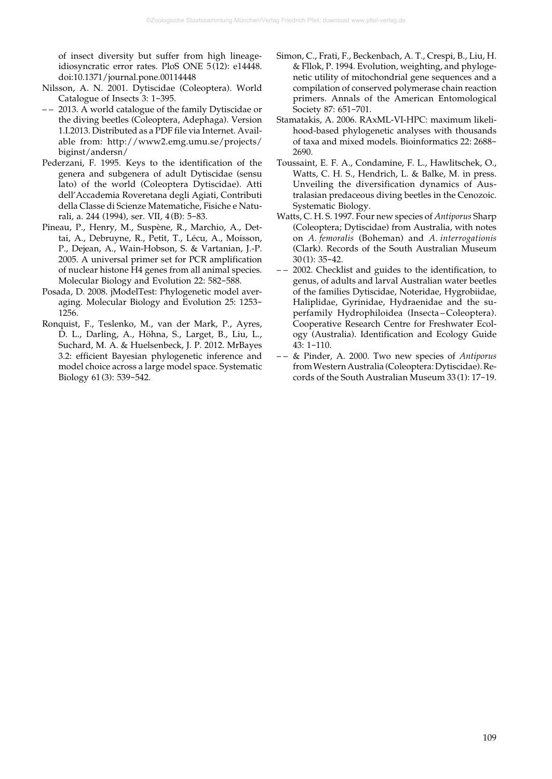of insect diversity but suffer from high lineageidiosyncratic error rates. PloS ONE 5(12): e14448. doi:10.1371/journal.pone.00114448

- Nilsson, A. N. 2001. Dytiscidae (Coleoptera). World Catalogue of Insects 3: 1-395.
- – 2013. A world catalogue of the family Dytiscidae or the diving beetles (Coleoptera, Adephaga). Version 1.I.2013. Distributed as a PDF file via Internet. Available from: http://www2.emg.umu.se/projects/ biginst/andersn/
- Pederzani, F. 1995. Keys to the identification of the genera and subgenera of adult Dytiscidae (sensu lato) of the world (Coleoptera Dytiscidae). Atti dell'Accademia Roveretana degli Agiati, Contributi della Classe di Scienze Matematiche, Fisiche e Naturali, a. 244 (1994), ser. VII, 4 (B): 5-83.
- Pineau, P., Henry, M., Suspène, R., Marchio, A., Dettai, A., Debruyne, R., Petit, T., Lécu, A., Moisson, P., Dejean, A., Wain-Hobson, S. & Vartanian, J.-P. 2005. A universal primer set for PCR amplification of nuclear histone H4 genes from all animal species. Molecular Biology and Evolution 22: 582-588.
- Posada, D. 2008. jModelTest: Phylogenetic model averaging. Molecular Biology and Evolution 25: 1253- 1256.
- Ronquist, F., Teslenko, M., van der Mark, P., Ayres, D. L., Darling, A., Höhna, S., Larget, B., Liu, L., Suchard, M. A. & Huelsenbeck, J. P. 2012. MrBayes 3.2: efficient Bayesian phylogenetic inference and model choice across a large model space. Systematic Biology 61 (3): 539-542.
- Simon, C., Frati, F., Beckenbach, A. T., Crespi, B., Liu, H. & Fllok, P. 1994. Evolution, weighting, and phylogenetic utility of mitochondrial gene sequences and a compilation of conserved polymerase chain reaction primers. Annals of the American Entomological Society 87: 651-701.
- Stamatakis, A. 2006. RAxML-VI-HPC: maximum likelihood-based phylogenetic analyses with thousands of taxa and mixed models. Bioinformatics 22: 2688- 2690.
- Toussaint, E. F. A., Condamine, F. L., Hawlitschek, O., Watts, C. H. S., Hendrich, L. & Balke, M. in press. Unveiling the diversification dynamics of Australasian predaceous diving beetles in the Cenozoic. Systematic Biology.
- Watts, C. H. S. 1997. Four new species of *Antiporus* Sharp (Coleoptera; Dytiscidae) from Australia, with notes on *A. femoralis* (Boheman) and *A. interrogationis* (Clark). Records of the South Australian Museum 30(1): 35-42.
- – 2002. Checklist and guides to the identification, to genus, of adults and larval Australian water beetles of the families Dytiscidae, Noteridae, Hygrobiidae, Haliplidae, Gyrinidae, Hydraenidae and the superfamily Hydrophiloidea (Insecta – Coleoptera). Cooperative Research Centre for Freshwater Ecology (Australia). Identification and Ecology Guide 43: 1-110.
- – & Pinder, A. 2000. Two new species of *Antiporus* from Western Australia (Coleoptera: Dytiscidae). Records of the South Australian Museum 33(1): 17-19.